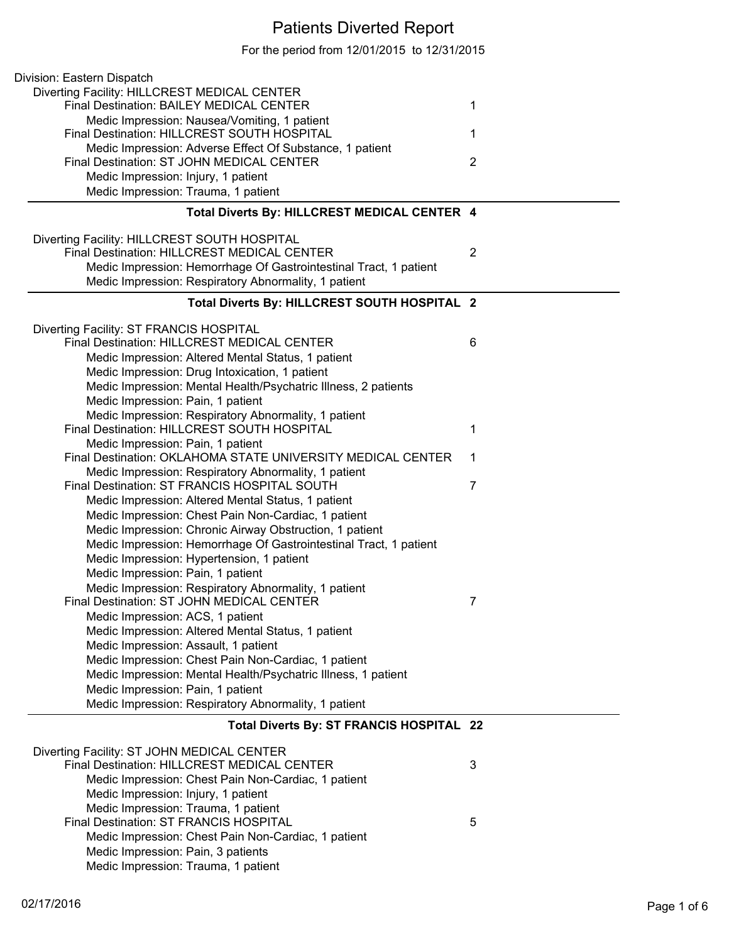## Patients Diverted Report

For the period from 12/01/2015 to 12/31/2015

| Division: Eastern Dispatch                                        |                |
|-------------------------------------------------------------------|----------------|
| Diverting Facility: HILLCREST MEDICAL CENTER                      |                |
| Final Destination: BAILEY MEDICAL CENTER                          | 1              |
| Medic Impression: Nausea/Vomiting, 1 patient                      |                |
| Final Destination: HILLCREST SOUTH HOSPITAL                       | 1              |
| Medic Impression: Adverse Effect Of Substance, 1 patient          |                |
| Final Destination: ST JOHN MEDICAL CENTER                         | $\overline{2}$ |
| Medic Impression: Injury, 1 patient                               |                |
| Medic Impression: Trauma, 1 patient                               |                |
| Total Diverts By: HILLCREST MEDICAL CENTER 4                      |                |
|                                                                   |                |
| Diverting Facility: HILLCREST SOUTH HOSPITAL                      |                |
| Final Destination: HILLCREST MEDICAL CENTER                       | $\overline{2}$ |
| Medic Impression: Hemorrhage Of Gastrointestinal Tract, 1 patient |                |
| Medic Impression: Respiratory Abnormality, 1 patient              |                |
| Total Diverts By: HILLCREST SOUTH HOSPITAL 2                      |                |
|                                                                   |                |
| Diverting Facility: ST FRANCIS HOSPITAL                           |                |
| <b>Final Destination: HILLCREST MEDICAL CENTER</b>                | 6              |
| Medic Impression: Altered Mental Status, 1 patient                |                |
| Medic Impression: Drug Intoxication, 1 patient                    |                |
| Medic Impression: Mental Health/Psychatric Illness, 2 patients    |                |
| Medic Impression: Pain, 1 patient                                 |                |
| Medic Impression: Respiratory Abnormality, 1 patient              |                |
| Final Destination: HILLCREST SOUTH HOSPITAL                       | 1              |
| Medic Impression: Pain, 1 patient                                 |                |
| Final Destination: OKLAHOMA STATE UNIVERSITY MEDICAL CENTER       | 1              |
| Medic Impression: Respiratory Abnormality, 1 patient              |                |
| Final Destination: ST FRANCIS HOSPITAL SOUTH                      | 7              |
| Medic Impression: Altered Mental Status, 1 patient                |                |
| Medic Impression: Chest Pain Non-Cardiac, 1 patient               |                |
| Medic Impression: Chronic Airway Obstruction, 1 patient           |                |
| Medic Impression: Hemorrhage Of Gastrointestinal Tract, 1 patient |                |
| Medic Impression: Hypertension, 1 patient                         |                |
| Medic Impression: Pain, 1 patient                                 |                |
| Medic Impression: Respiratory Abnormality, 1 patient              |                |
| Final Destination: ST JOHN MEDICAL CENTER                         | 7              |
| Medic Impression: ACS, 1 patient                                  |                |
| Medic Impression: Altered Mental Status, 1 patient                |                |
| Medic Impression: Assault, 1 patient                              |                |
| Medic Impression: Chest Pain Non-Cardiac, 1 patient               |                |
| Medic Impression: Mental Health/Psychatric Illness, 1 patient     |                |
| Medic Impression: Pain, 1 patient                                 |                |
| Medic Impression: Respiratory Abnormality, 1 patient              |                |
| Total Diverts By: ST FRANCIS HOSPITAL 22                          |                |
| Diverting Facility: ST JOHN MEDICAL CENTER                        |                |
| <b>Final Destination: HILLCREST MEDICAL CENTER</b>                | 3              |
| Medic Impression: Chest Pain Non-Cardiac, 1 patient               |                |
| Medic Impression: Injury, 1 patient                               |                |
| Medic Impression: Trauma, 1 patient                               |                |
| Final Destination: ST FRANCIS HOSPITAL                            | 5              |
| Medic Impression: Chest Pain Non-Cardiac, 1 patient               |                |
| Medic Impression: Pain, 3 patients                                |                |
| Medic Impression: Trauma, 1 patient                               |                |
|                                                                   |                |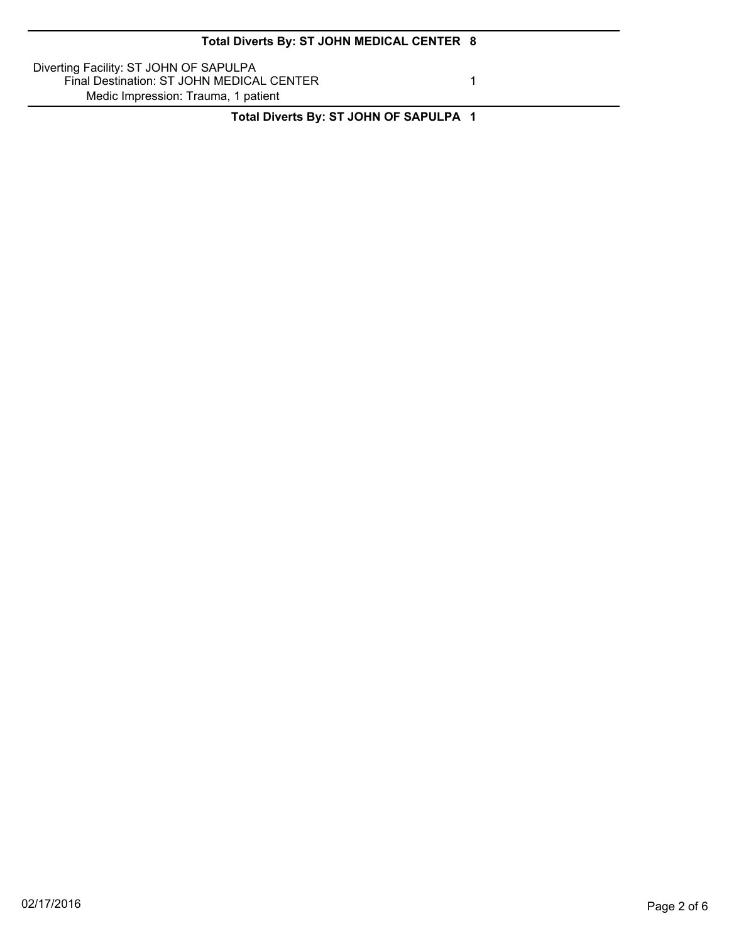Diverting Facility: ST JOHN OF SAPULPA Final Destination: ST JOHN MEDICAL CENTER 1 Medic Impression: Trauma, 1 patient

**Total Diverts By: ST JOHN OF SAPULPA 1**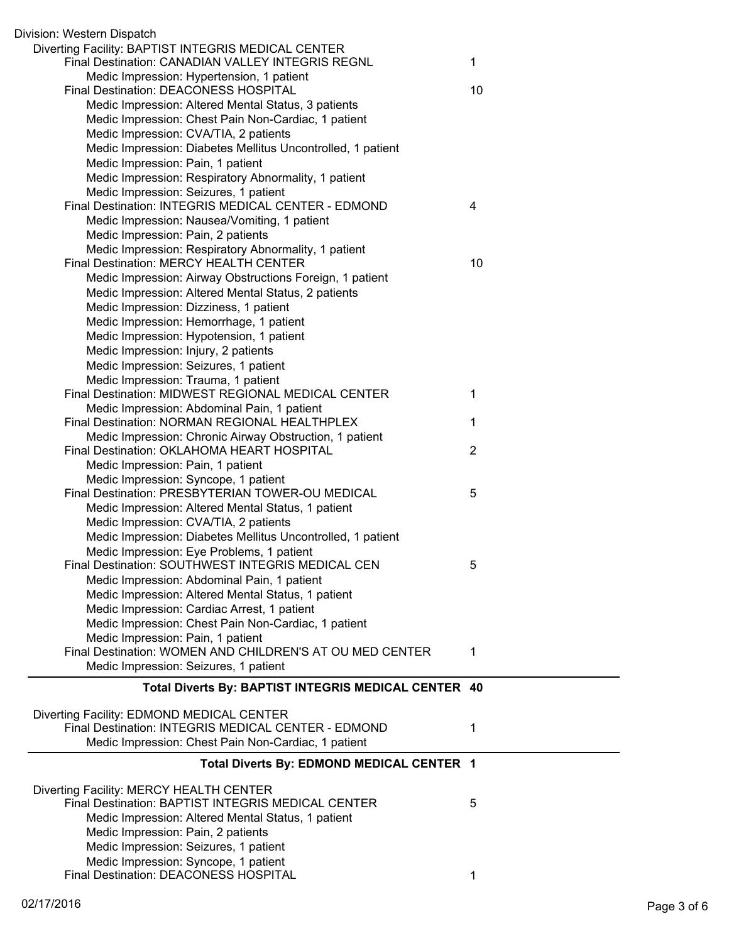| Division: Western Dispatch                                                                            |    |
|-------------------------------------------------------------------------------------------------------|----|
| Diverting Facility: BAPTIST INTEGRIS MEDICAL CENTER                                                   |    |
| Final Destination: CANADIAN VALLEY INTEGRIS REGNL                                                     | 1  |
| Medic Impression: Hypertension, 1 patient                                                             |    |
| Final Destination: DEACONESS HOSPITAL                                                                 | 10 |
| Medic Impression: Altered Mental Status, 3 patients                                                   |    |
| Medic Impression: Chest Pain Non-Cardiac, 1 patient                                                   |    |
| Medic Impression: CVA/TIA, 2 patients                                                                 |    |
| Medic Impression: Diabetes Mellitus Uncontrolled, 1 patient                                           |    |
| Medic Impression: Pain, 1 patient                                                                     |    |
| Medic Impression: Respiratory Abnormality, 1 patient                                                  |    |
| Medic Impression: Seizures, 1 patient                                                                 |    |
| Final Destination: INTEGRIS MEDICAL CENTER - EDMOND                                                   | 4  |
| Medic Impression: Nausea/Vomiting, 1 patient                                                          |    |
| Medic Impression: Pain, 2 patients                                                                    |    |
| Medic Impression: Respiratory Abnormality, 1 patient                                                  |    |
| Final Destination: MERCY HEALTH CENTER                                                                | 10 |
| Medic Impression: Airway Obstructions Foreign, 1 patient                                              |    |
| Medic Impression: Altered Mental Status, 2 patients                                                   |    |
| Medic Impression: Dizziness, 1 patient                                                                |    |
| Medic Impression: Hemorrhage, 1 patient                                                               |    |
| Medic Impression: Hypotension, 1 patient                                                              |    |
| Medic Impression: Injury, 2 patients                                                                  |    |
| Medic Impression: Seizures, 1 patient                                                                 |    |
| Medic Impression: Trauma, 1 patient                                                                   |    |
| Final Destination: MIDWEST REGIONAL MEDICAL CENTER                                                    | 1  |
| Medic Impression: Abdominal Pain, 1 patient                                                           |    |
| Final Destination: NORMAN REGIONAL HEALTHPLEX                                                         | 1  |
| Medic Impression: Chronic Airway Obstruction, 1 patient<br>Final Destination: OKLAHOMA HEART HOSPITAL | 2  |
| Medic Impression: Pain, 1 patient                                                                     |    |
| Medic Impression: Syncope, 1 patient                                                                  |    |
| Final Destination: PRESBYTERIAN TOWER-OU MEDICAL                                                      | 5  |
| Medic Impression: Altered Mental Status, 1 patient                                                    |    |
| Medic Impression: CVA/TIA, 2 patients                                                                 |    |
| Medic Impression: Diabetes Mellitus Uncontrolled, 1 patient                                           |    |
| Medic Impression: Eye Problems, 1 patient                                                             |    |
| Final Destination: SOUTHWEST INTEGRIS MEDICAL CEN                                                     | 5  |
| Medic Impression: Abdominal Pain, 1 patient                                                           |    |
| Medic Impression: Altered Mental Status, 1 patient                                                    |    |
| Medic Impression: Cardiac Arrest, 1 patient                                                           |    |
| Medic Impression: Chest Pain Non-Cardiac, 1 patient                                                   |    |
| Medic Impression: Pain, 1 patient                                                                     |    |
| Final Destination: WOMEN AND CHILDREN'S AT OU MED CENTER                                              | 1  |
| Medic Impression: Seizures, 1 patient                                                                 |    |
| Total Diverts By: BAPTIST INTEGRIS MEDICAL CENTER 40                                                  |    |
|                                                                                                       |    |
| Diverting Facility: EDMOND MEDICAL CENTER                                                             |    |
| Final Destination: INTEGRIS MEDICAL CENTER - EDMOND                                                   | 1  |
| Medic Impression: Chest Pain Non-Cardiac, 1 patient                                                   |    |
| Total Diverts By: EDMOND MEDICAL CENTER 1                                                             |    |
| Diverting Facility: MERCY HEALTH CENTER                                                               |    |
| Final Destination: BAPTIST INTEGRIS MEDICAL CENTER                                                    | 5  |
| Medic Impression: Altered Mental Status, 1 patient                                                    |    |
| Medic Impression: Pain, 2 patients                                                                    |    |
| Medic Impression: Seizures, 1 patient                                                                 |    |
| Medic Impression: Syncope, 1 patient                                                                  |    |
| Final Destination: DEACONESS HOSPITAL                                                                 | 1  |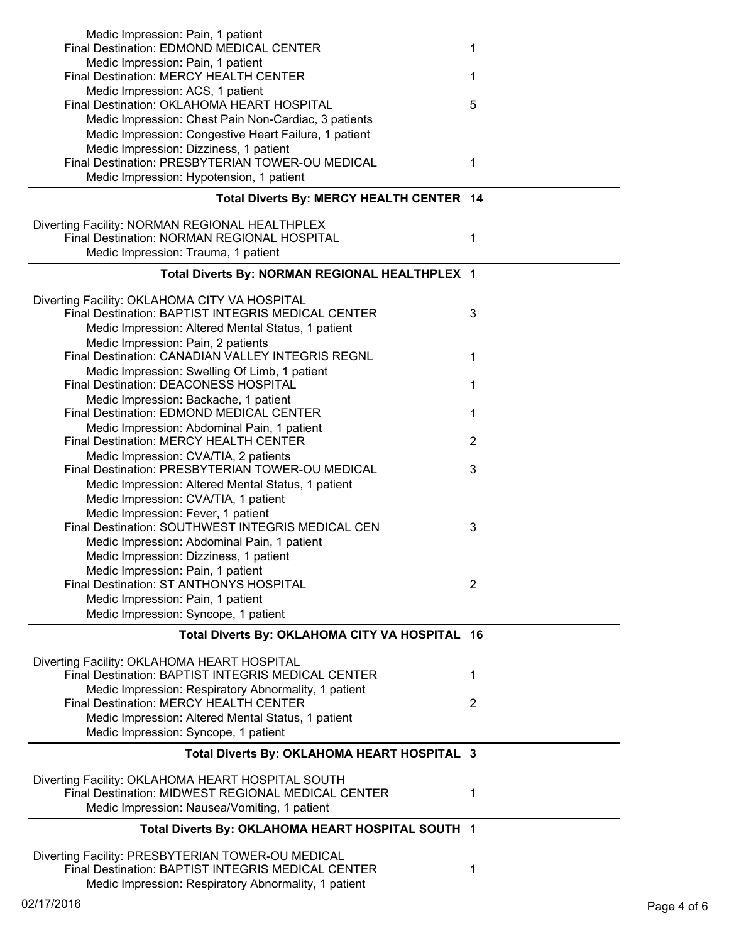| Medic Impression: Pain, 1 patient                                                                       |                |
|---------------------------------------------------------------------------------------------------------|----------------|
| Final Destination: EDMOND MEDICAL CENTER                                                                | 1              |
| Medic Impression: Pain, 1 patient                                                                       |                |
| Final Destination: MERCY HEALTH CENTER                                                                  | 1              |
| Medic Impression: ACS, 1 patient                                                                        |                |
| Final Destination: OKLAHOMA HEART HOSPITAL                                                              | 5              |
| Medic Impression: Chest Pain Non-Cardiac, 3 patients                                                    |                |
| Medic Impression: Congestive Heart Failure, 1 patient                                                   |                |
| Medic Impression: Dizziness, 1 patient<br>Final Destination: PRESBYTERIAN TOWER-OU MEDICAL              | 1              |
| Medic Impression: Hypotension, 1 patient                                                                |                |
|                                                                                                         |                |
| Total Diverts By: MERCY HEALTH CENTER 14                                                                |                |
|                                                                                                         |                |
| Diverting Facility: NORMAN REGIONAL HEALTHPLEX<br>Final Destination: NORMAN REGIONAL HOSPITAL           |                |
|                                                                                                         | 1              |
| Medic Impression: Trauma, 1 patient                                                                     |                |
| Total Diverts By: NORMAN REGIONAL HEALTHPLEX 1                                                          |                |
|                                                                                                         |                |
| Diverting Facility: OKLAHOMA CITY VA HOSPITAL<br>Final Destination: BAPTIST INTEGRIS MEDICAL CENTER     | 3              |
| Medic Impression: Altered Mental Status, 1 patient                                                      |                |
| Medic Impression: Pain, 2 patients                                                                      |                |
| <b>Final Destination: CANADIAN VALLEY INTEGRIS REGNL</b>                                                | 1              |
| Medic Impression: Swelling Of Limb, 1 patient                                                           |                |
| Final Destination: DEACONESS HOSPITAL                                                                   | 1              |
| Medic Impression: Backache, 1 patient                                                                   |                |
| Final Destination: EDMOND MEDICAL CENTER                                                                | 1              |
| Medic Impression: Abdominal Pain, 1 patient                                                             |                |
| Final Destination: MERCY HEALTH CENTER                                                                  | $\overline{2}$ |
| Medic Impression: CVA/TIA, 2 patients                                                                   |                |
| Final Destination: PRESBYTERIAN TOWER-OU MEDICAL                                                        | 3              |
| Medic Impression: Altered Mental Status, 1 patient                                                      |                |
| Medic Impression: CVA/TIA, 1 patient                                                                    |                |
| Medic Impression: Fever, 1 patient                                                                      |                |
| Final Destination: SOUTHWEST INTEGRIS MEDICAL CEN                                                       | 3              |
| Medic Impression: Abdominal Pain, 1 patient                                                             |                |
| Medic Impression: Dizziness, 1 patient                                                                  |                |
| Medic Impression: Pain, 1 patient                                                                       |                |
| Final Destination: ST ANTHONYS HOSPITAL                                                                 | 2              |
| Medic Impression: Pain, 1 patient                                                                       |                |
| Medic Impression: Syncope, 1 patient                                                                    |                |
| Total Diverts By: OKLAHOMA CITY VA HOSPITAL 16                                                          |                |
|                                                                                                         |                |
| Diverting Facility: OKLAHOMA HEART HOSPITAL                                                             |                |
| Final Destination: BAPTIST INTEGRIS MEDICAL CENTER                                                      | 1              |
| Medic Impression: Respiratory Abnormality, 1 patient                                                    |                |
| Final Destination: MERCY HEALTH CENTER                                                                  | $\overline{2}$ |
| Medic Impression: Altered Mental Status, 1 patient                                                      |                |
| Medic Impression: Syncope, 1 patient                                                                    |                |
| Total Diverts By: OKLAHOMA HEART HOSPITAL 3                                                             |                |
|                                                                                                         |                |
| Diverting Facility: OKLAHOMA HEART HOSPITAL SOUTH<br>Final Destination: MIDWEST REGIONAL MEDICAL CENTER |                |
|                                                                                                         | 1              |
| Medic Impression: Nausea/Vomiting, 1 patient                                                            |                |
| Total Diverts By: OKLAHOMA HEART HOSPITAL SOUTH 1                                                       |                |
|                                                                                                         |                |
| Diverting Facility: PRESBYTERIAN TOWER-OU MEDICAL<br>Final Destination: BAPTIST INTEGRIS MEDICAL CENTER | 1              |
| Medic Impression: Respiratory Abnormality, 1 patient                                                    |                |
|                                                                                                         |                |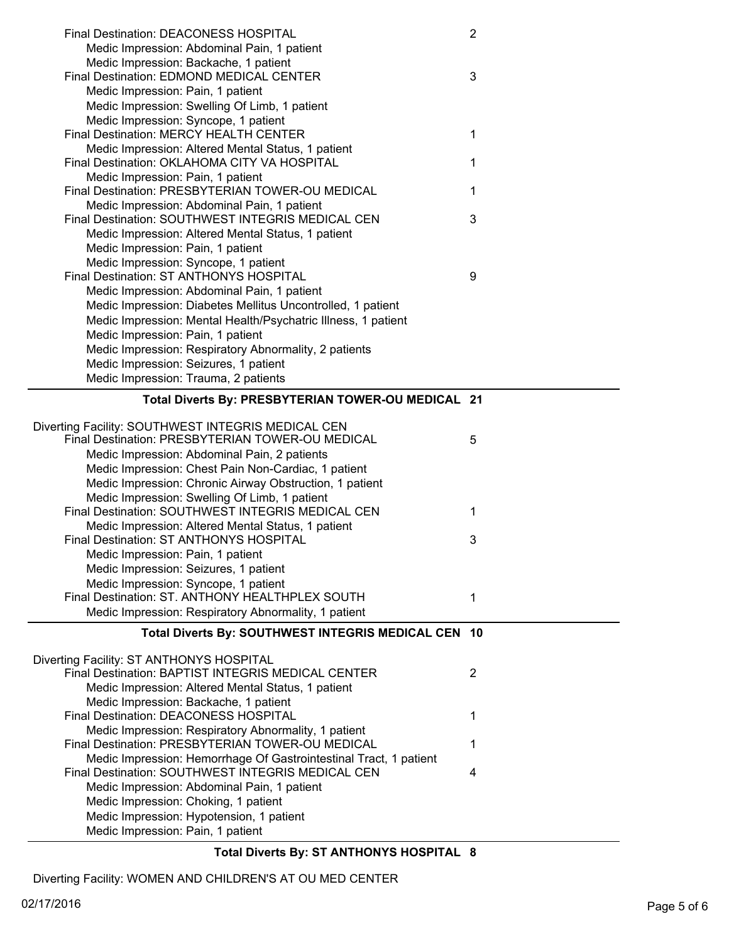| <b>Final Destination: DEACONESS HOSPITAL</b>                                                                                 | $\overline{2}$ |
|------------------------------------------------------------------------------------------------------------------------------|----------------|
| Medic Impression: Abdominal Pain, 1 patient                                                                                  |                |
| Medic Impression: Backache, 1 patient                                                                                        |                |
| Final Destination: EDMOND MEDICAL CENTER                                                                                     | 3              |
| Medic Impression: Pain, 1 patient                                                                                            |                |
| Medic Impression: Swelling Of Limb, 1 patient                                                                                |                |
| Medic Impression: Syncope, 1 patient<br>Final Destination: MERCY HEALTH CENTER                                               | 1              |
| Medic Impression: Altered Mental Status, 1 patient                                                                           |                |
| Final Destination: OKLAHOMA CITY VA HOSPITAL                                                                                 | 1              |
| Medic Impression: Pain, 1 patient                                                                                            |                |
| Final Destination: PRESBYTERIAN TOWER-OU MEDICAL                                                                             | 1              |
| Medic Impression: Abdominal Pain, 1 patient                                                                                  |                |
| Final Destination: SOUTHWEST INTEGRIS MEDICAL CEN                                                                            | 3              |
| Medic Impression: Altered Mental Status, 1 patient                                                                           |                |
| Medic Impression: Pain, 1 patient                                                                                            |                |
| Medic Impression: Syncope, 1 patient                                                                                         |                |
| Final Destination: ST ANTHONYS HOSPITAL                                                                                      | 9              |
| Medic Impression: Abdominal Pain, 1 patient                                                                                  |                |
| Medic Impression: Diabetes Mellitus Uncontrolled, 1 patient<br>Medic Impression: Mental Health/Psychatric Illness, 1 patient |                |
| Medic Impression: Pain, 1 patient                                                                                            |                |
| Medic Impression: Respiratory Abnormality, 2 patients                                                                        |                |
| Medic Impression: Seizures, 1 patient                                                                                        |                |
| Medic Impression: Trauma, 2 patients                                                                                         |                |
| Total Diverts By: PRESBYTERIAN TOWER-OU MEDICAL 21                                                                           |                |
|                                                                                                                              |                |
| Diverting Facility: SOUTHWEST INTEGRIS MEDICAL CEN                                                                           |                |
| Final Destination: PRESBYTERIAN TOWER-OU MEDICAL                                                                             | 5              |
| Medic Impression: Abdominal Pain, 2 patients                                                                                 |                |
| Medic Impression: Chest Pain Non-Cardiac, 1 patient                                                                          |                |
| Medic Impression: Chronic Airway Obstruction, 1 patient                                                                      |                |
| Medic Impression: Swelling Of Limb, 1 patient<br>Final Destination: SOUTHWEST INTEGRIS MEDICAL CEN                           | 1              |
| Medic Impression: Altered Mental Status, 1 patient                                                                           |                |
| Final Destination: ST ANTHONYS HOSPITAL                                                                                      | 3              |
| Medic Impression: Pain, 1 patient                                                                                            |                |
| Medic Impression: Seizures, 1 patient                                                                                        |                |
| Medic Impression: Syncope, 1 patient                                                                                         |                |
| Final Destination: ST. ANTHONY HEALTHPLEX SOUTH                                                                              | 1              |
| Medic Impression: Respiratory Abnormality, 1 patient                                                                         |                |
| Total Diverts By: SOUTHWEST INTEGRIS MEDICAL CEN 10                                                                          |                |
| Diverting Facility: ST ANTHONYS HOSPITAL                                                                                     |                |
| Final Destination: BAPTIST INTEGRIS MEDICAL CENTER                                                                           | $\overline{2}$ |
| Medic Impression: Altered Mental Status, 1 patient                                                                           |                |
| Medic Impression: Backache, 1 patient                                                                                        |                |
| Final Destination: DEACONESS HOSPITAL                                                                                        | 1              |
| Medic Impression: Respiratory Abnormality, 1 patient                                                                         |                |
| Final Destination: PRESBYTERIAN TOWER-OU MEDICAL                                                                             | 1              |
| Medic Impression: Hemorrhage Of Gastrointestinal Tract, 1 patient                                                            |                |
| Final Destination: SOUTHWEST INTEGRIS MEDICAL CEN                                                                            |                |
| Medic Impression: Abdominal Pain, 1 patient                                                                                  | 4              |
|                                                                                                                              |                |
| Medic Impression: Choking, 1 patient                                                                                         |                |
| Medic Impression: Hypotension, 1 patient<br>Medic Impression: Pain, 1 patient                                                |                |

**Total Diverts By: ST ANTHONYS HOSPITAL 8**

Diverting Facility: WOMEN AND CHILDREN'S AT OU MED CENTER